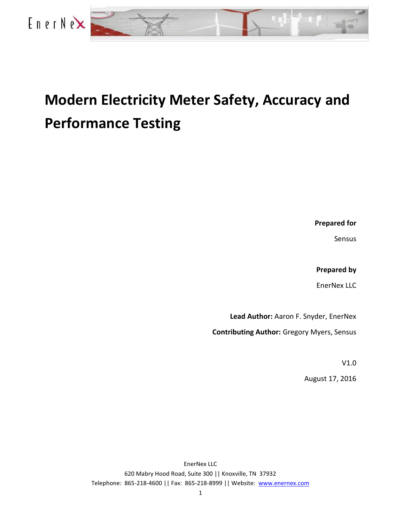

## **Modern Electricity Meter Safety, Accuracy and Performance Testing**

**Prepared for**

Sensus

**Prepared by**

EnerNex LLC

**Lead Author:** Aaron F. Snyder, EnerNex

**Contributing Author:** Gregory Myers, Sensus

V1.0

August 17, 2016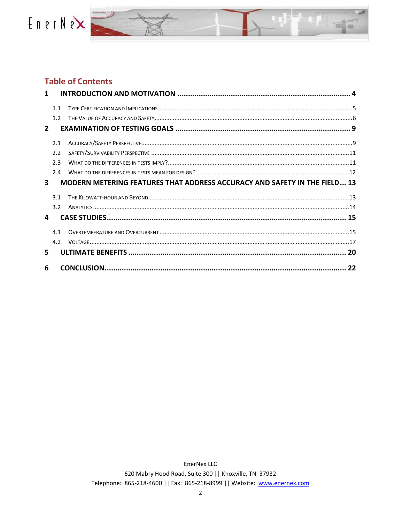



#### **Table of Contents**

| $\mathbf{1}$                                                                          |     |  |  |
|---------------------------------------------------------------------------------------|-----|--|--|
|                                                                                       | 11  |  |  |
|                                                                                       | 12  |  |  |
| $\overline{2}$                                                                        |     |  |  |
|                                                                                       | 2.1 |  |  |
|                                                                                       | 2.2 |  |  |
|                                                                                       | 23  |  |  |
|                                                                                       | 24  |  |  |
| <b>MODERN METERING FEATURES THAT ADDRESS ACCURACY AND SAFETY IN THE FIELD 13</b><br>3 |     |  |  |
|                                                                                       | 3.1 |  |  |
|                                                                                       | 3.2 |  |  |
| 4                                                                                     |     |  |  |
|                                                                                       | 4.1 |  |  |
|                                                                                       | 4.2 |  |  |
| 5.                                                                                    |     |  |  |
| 6                                                                                     |     |  |  |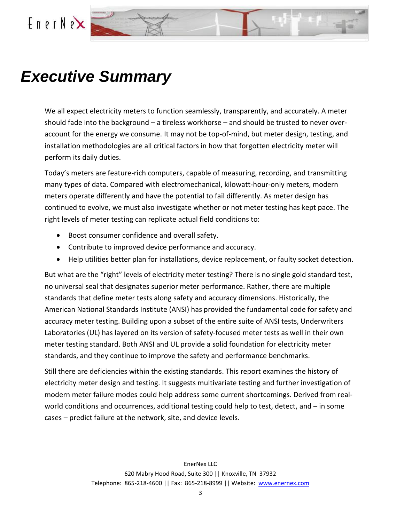

## *Executive Summary*

We all expect electricity meters to function seamlessly, transparently, and accurately. A meter should fade into the background – a tireless workhorse – and should be trusted to never overaccount for the energy we consume. It may not be top-of-mind, but meter design, testing, and installation methodologies are all critical factors in how that forgotten electricity meter will perform its daily duties.

Today's meters are feature-rich computers, capable of measuring, recording, and transmitting many types of data. Compared with electromechanical, kilowatt-hour-only meters, modern meters operate differently and have the potential to fail differently. As meter design has continued to evolve, we must also investigate whether or not meter testing has kept pace. The right levels of meter testing can replicate actual field conditions to:

- Boost consumer confidence and overall safety.
- Contribute to improved device performance and accuracy.
- Help utilities better plan for installations, device replacement, or faulty socket detection.

But what are the "right" levels of electricity meter testing? There is no single gold standard test, no universal seal that designates superior meter performance. Rather, there are multiple standards that define meter tests along safety and accuracy dimensions. Historically, the American National Standards Institute (ANSI) has provided the fundamental code for safety and accuracy meter testing. Building upon a subset of the entire suite of ANSI tests, Underwriters Laboratories (UL) has layered on its version of safety-focused meter tests as well in their own meter testing standard. Both ANSI and UL provide a solid foundation for electricity meter standards, and they continue to improve the safety and performance benchmarks.

Still there are deficiencies within the existing standards. This report examines the history of electricity meter design and testing. It suggests multivariate testing and further investigation of modern meter failure modes could help address some current shortcomings. Derived from realworld conditions and occurrences, additional testing could help to test, detect, and – in some cases – predict failure at the network, site, and device levels.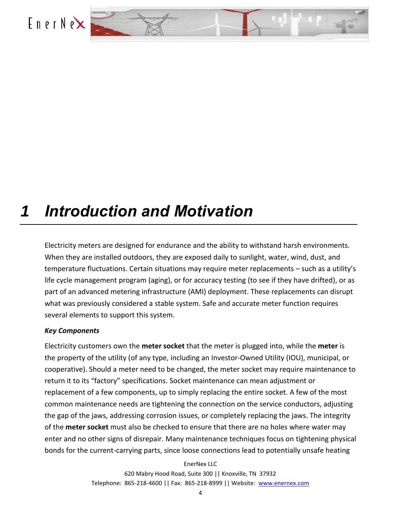<span id="page-3-0"></span>



## *1 Introduction and Motivation*

Electricity meters are designed for endurance and the ability to withstand harsh environments. When they are installed outdoors, they are exposed daily to sunlight, water, wind, dust, and temperature fluctuations. Certain situations may require meter replacements – such as a utility's life cycle management program (aging), or for accuracy testing (to see if they have drifted), or as part of an advanced metering infrastructure (AMI) deployment. These replacements can disrupt what was previously considered a stable system. Safe and accurate meter function requires several elements to support this system.

#### *Key Components*

Electricity customers own the **meter socket** that the meter is plugged into, while the **meter** is the property of the utility (of any type, including an Investor-Owned Utility (IOU), municipal, or cooperative). Should a meter need to be changed, the meter socket may require maintenance to return it to its "factory" specifications. Socket maintenance can mean adjustment or replacement of a few components, up to simply replacing the entire socket. A few of the most common maintenance needs are tightening the connection on the service conductors, adjusting the gap of the jaws, addressing corrosion issues, or completely replacing the jaws. The integrity of the **meter socket** must also be checked to ensure that there are no holes where water may enter and no other signs of disrepair. Many maintenance techniques focus on tightening physical bonds for the current-carrying parts, since loose connections lead to potentially unsafe heating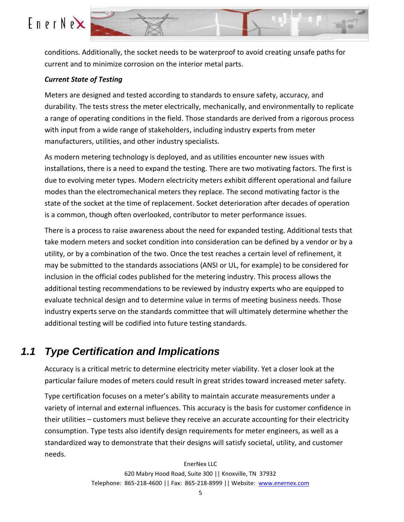

conditions. Additionally, the socket needs to be waterproof to avoid creating unsafe paths for current and to minimize corrosion on the interior metal parts.

#### *Current State of Testing*

Meters are designed and tested according to standards to ensure safety, accuracy, and durability. The tests stress the meter electrically, mechanically, and environmentally to replicate a range of operating conditions in the field. Those standards are derived from a rigorous process with input from a wide range of stakeholders, including industry experts from meter manufacturers, utilities, and other industry specialists.

As modern metering technology is deployed, and as utilities encounter new issues with installations, there is a need to expand the testing. There are two motivating factors. The first is due to evolving meter types. Modern electricity meters exhibit different operational and failure modes than the electromechanical meters they replace. The second motivating factor is the state of the socket at the time of replacement. Socket deterioration after decades of operation is a common, though often overlooked, contributor to meter performance issues.

There is a process to raise awareness about the need for expanded testing. Additional tests that take modern meters and socket condition into consideration can be defined by a vendor or by a utility, or by a combination of the two. Once the test reaches a certain level of refinement, it may be submitted to the standards associations (ANSI or UL, for example) to be considered for inclusion in the official codes published for the metering industry. This process allows the additional testing recommendations to be reviewed by industry experts who are equipped to evaluate technical design and to determine value in terms of meeting business needs. Those industry experts serve on the standards committee that will ultimately determine whether the additional testing will be codified into future testing standards.

### <span id="page-4-0"></span>*1.1 Type Certification and Implications*

Accuracy is a critical metric to determine electricity meter viability. Yet a closer look at the particular failure modes of meters could result in great strides toward increased meter safety.

Type certification focuses on a meter's ability to maintain accurate measurements under a variety of internal and external influences. This accuracy is the basis for customer confidence in their utilities – customers must believe they receive an accurate accounting for their electricity consumption. Type tests also identify design requirements for meter engineers, as well as a standardized way to demonstrate that their designs will satisfy societal, utility, and customer needs.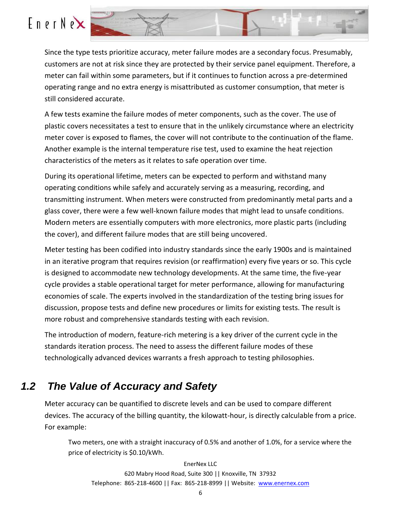Since the type tests prioritize accuracy, meter failure modes are a secondary focus. Presumably, customers are not at risk since they are protected by their service panel equipment. Therefore, a meter can fail within some parameters, but if it continues to function across a pre-determined operating range and no extra energy is misattributed as customer consumption, that meter is still considered accurate.

A few tests examine the failure modes of meter components, such as the cover. The use of plastic covers necessitates a test to ensure that in the unlikely circumstance where an electricity meter cover is exposed to flames, the cover will not contribute to the continuation of the flame. Another example is the internal temperature rise test, used to examine the heat rejection characteristics of the meters as it relates to safe operation over time.

During its operational lifetime, meters can be expected to perform and withstand many operating conditions while safely and accurately serving as a measuring, recording, and transmitting instrument. When meters were constructed from predominantly metal parts and a glass cover, there were a few well-known failure modes that might lead to unsafe conditions. Modern meters are essentially computers with more electronics, more plastic parts (including the cover), and different failure modes that are still being uncovered.

Meter testing has been codified into industry standards since the early 1900s and is maintained in an iterative program that requires revision (or reaffirmation) every five years or so. This cycle is designed to accommodate new technology developments. At the same time, the five-year cycle provides a stable operational target for meter performance, allowing for manufacturing economies of scale. The experts involved in the standardization of the testing bring issues for discussion, propose tests and define new procedures or limits for existing tests. The result is more robust and comprehensive standards testing with each revision.

The introduction of modern, feature-rich metering is a key driver of the current cycle in the standards iteration process. The need to assess the different failure modes of these technologically advanced devices warrants a fresh approach to testing philosophies.

### <span id="page-5-0"></span>*1.2 The Value of Accuracy and Safety*

Meter accuracy can be quantified to discrete levels and can be used to compare different devices. The accuracy of the billing quantity, the kilowatt-hour, is directly calculable from a price. For example:

Two meters, one with a straight inaccuracy of 0.5% and another of 1.0%, for a service where the price of electricity is \$0.10/kWh.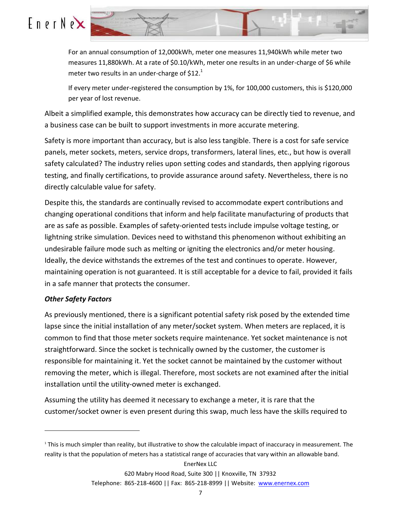



For an annual consumption of 12,000kWh, meter one measures 11,940kWh while meter two measures 11,880kWh. At a rate of \$0.10/kWh, meter one results in an under-charge of \$6 while meter two results in an under-charge of  $$12.<sup>1</sup>$ 

If every meter under-registered the consumption by 1%, for 100,000 customers, this is \$120,000 per year of lost revenue.

Albeit a simplified example, this demonstrates how accuracy can be directly tied to revenue, and a business case can be built to support investments in more accurate metering.

Safety is more important than accuracy, but is also less tangible. There is a cost for safe service panels, meter sockets, meters, service drops, transformers, lateral lines, etc., but how is overall safety calculated? The industry relies upon setting codes and standards, then applying rigorous testing, and finally certifications, to provide assurance around safety. Nevertheless, there is no directly calculable value for safety.

Despite this, the standards are continually revised to accommodate expert contributions and changing operational conditions that inform and help facilitate manufacturing of products that are as safe as possible. Examples of safety-oriented tests include impulse voltage testing, or lightning strike simulation. Devices need to withstand this phenomenon without exhibiting an undesirable failure mode such as melting or igniting the electronics and/or meter housing. Ideally, the device withstands the extremes of the test and continues to operate. However, maintaining operation is not guaranteed. It is still acceptable for a device to fail, provided it fails in a safe manner that protects the consumer.

#### *Other Safety Factors*

 $\overline{a}$ 

As previously mentioned, there is a significant potential safety risk posed by the extended time lapse since the initial installation of any meter/socket system. When meters are replaced, it is common to find that those meter sockets require maintenance. Yet socket maintenance is not straightforward. Since the socket is technically owned by the customer, the customer is responsible for maintaining it. Yet the socket cannot be maintained by the customer without removing the meter, which is illegal. Therefore, most sockets are not examined after the initial installation until the utility-owned meter is exchanged.

Assuming the utility has deemed it necessary to exchange a meter, it is rare that the customer/socket owner is even present during this swap, much less have the skills required to

<sup>1</sup> This is much simpler than reality, but illustrative to show the calculable impact of inaccuracy in measurement. The reality is that the population of meters has a statistical range of accuracies that vary within an allowable band.

Telephone: 865-218-4600 || Fax: 865-218-8999 || Website: [www.enernex.com](http://www.enernex.com/)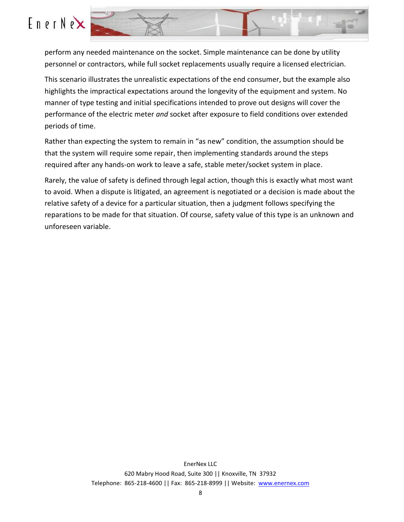



perform any needed maintenance on the socket. Simple maintenance can be done by utility personnel or contractors, while full socket replacements usually require a licensed electrician.

This scenario illustrates the unrealistic expectations of the end consumer, but the example also highlights the impractical expectations around the longevity of the equipment and system. No manner of type testing and initial specifications intended to prove out designs will cover the performance of the electric meter *and* socket after exposure to field conditions over extended periods of time.

Rather than expecting the system to remain in "as new" condition, the assumption should be that the system will require some repair, then implementing standards around the steps required after any hands-on work to leave a safe, stable meter/socket system in place.

Rarely, the value of safety is defined through legal action, though this is exactly what most want to avoid. When a dispute is litigated, an agreement is negotiated or a decision is made about the relative safety of a device for a particular situation, then a judgment follows specifying the reparations to be made for that situation. Of course, safety value of this type is an unknown and unforeseen variable.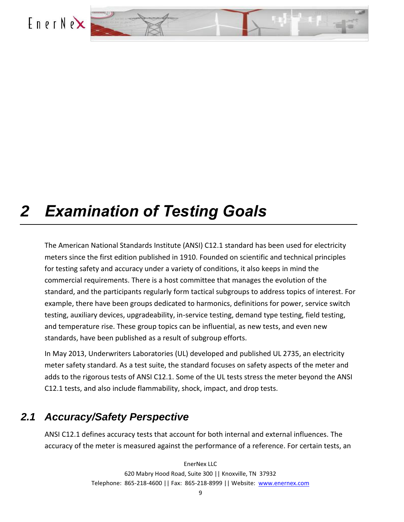<span id="page-8-0"></span>



## *2 Examination of Testing Goals*

The American National Standards Institute (ANSI) C12.1 standard has been used for electricity meters since the first edition published in 1910. Founded on scientific and technical principles for testing safety and accuracy under a variety of conditions, it also keeps in mind the commercial requirements. There is a host committee that manages the evolution of the standard, and the participants regularly form tactical subgroups to address topics of interest. For example, there have been groups dedicated to harmonics, definitions for power, service switch testing, auxiliary devices, upgradeability, in-service testing, demand type testing, field testing, and temperature rise. These group topics can be influential, as new tests, and even new standards, have been published as a result of subgroup efforts.

In May 2013, Underwriters Laboratories (UL) developed and published UL 2735, an electricity meter safety standard. As a test suite, the standard focuses on safety aspects of the meter and adds to the rigorous tests of ANSI C12.1. Some of the UL tests stress the meter beyond the ANSI C12.1 tests, and also include flammability, shock, impact, and drop tests.

### <span id="page-8-1"></span>*2.1 Accuracy/Safety Perspective*

ANSI C12.1 defines accuracy tests that account for both internal and external influences. The accuracy of the meter is measured against the performance of a reference. For certain tests, an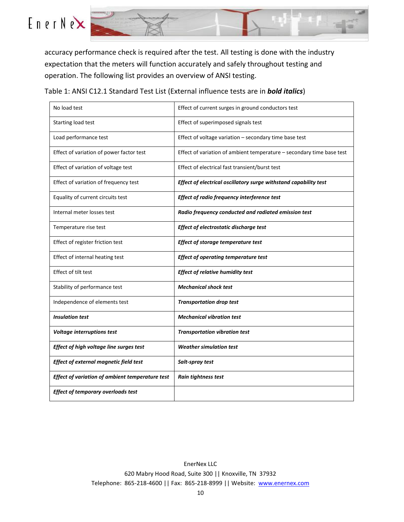

accuracy performance check is required after the test. All testing is done with the industry expectation that the meters will function accurately and safely throughout testing and operation. The following list provides an overview of ANSI testing.

Table 1: ANSI C12.1 Standard Test List (External influence tests are in *bold italics*)

| No load test                                    | Effect of current surges in ground conductors test                    |
|-------------------------------------------------|-----------------------------------------------------------------------|
| Starting load test                              | Effect of superimposed signals test                                   |
| Load performance test                           | Effect of voltage variation - secondary time base test                |
| Effect of variation of power factor test        | Effect of variation of ambient temperature - secondary time base test |
| Effect of variation of voltage test             | Effect of electrical fast transient/burst test                        |
| Effect of variation of frequency test           | Effect of electrical oscillatory surge withstand capability test      |
| Equality of current circuits test               | Effect of radio frequency interference test                           |
| Internal meter losses test                      | Radio frequency conducted and radiated emission test                  |
| Temperature rise test                           | Effect of electrostatic discharge test                                |
| Effect of register friction test                | Effect of storage temperature test                                    |
| Effect of internal heating test                 | <b>Effect of operating temperature test</b>                           |
| Effect of tilt test                             | <b>Effect of relative humidity test</b>                               |
| Stability of performance test                   | <b>Mechanical shock test</b>                                          |
| Independence of elements test                   | <b>Transportation drop test</b>                                       |
| <b>Insulation test</b>                          | <b>Mechanical vibration test</b>                                      |
| <b>Voltage interruptions test</b>               | <b>Transportation vibration test</b>                                  |
| Effect of high voltage line surges test         | <b>Weather simulation test</b>                                        |
| Effect of external magnetic field test          | Salt-spray test                                                       |
| Effect of variation of ambient temperature test | Rain tightness test                                                   |
| <b>Effect of temporary overloads test</b>       |                                                                       |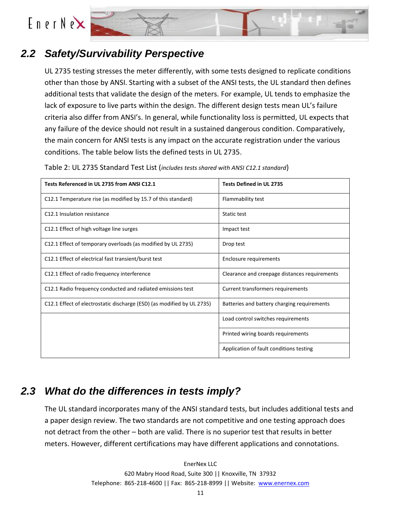



### *2.2 Safety/Survivability Perspective*

<span id="page-10-0"></span>UL 2735 testing stresses the meter differently, with some tests designed to replicate conditions other than those by ANSI. Starting with a subset of the ANSI tests, the UL standard then defines additional tests that validate the design of the meters. For example, UL tends to emphasize the lack of exposure to live parts within the design. The different design tests mean UL's failure criteria also differ from ANSI's. In general, while functionality loss is permitted, UL expects that any failure of the device should not result in a sustained dangerous condition. Comparatively, the main concern for ANSI tests is any impact on the accurate registration under the various conditions. The table below lists the defined tests in UL 2735.

| Tests Referenced in UL 2735 from ANSI C12.1                            | <b>Tests Defined in UL 2735</b>               |
|------------------------------------------------------------------------|-----------------------------------------------|
| C12.1 Temperature rise (as modified by 15.7 of this standard)          | Flammability test                             |
| C12.1 Insulation resistance                                            | Static test                                   |
| C12.1 Effect of high voltage line surges                               | Impact test                                   |
| C12.1 Effect of temporary overloads (as modified by UL 2735)           | Drop test                                     |
| C12.1 Effect of electrical fast transient/burst test                   | Enclosure requirements                        |
| C12.1 Effect of radio frequency interference                           | Clearance and creepage distances requirements |
| C12.1 Radio frequency conducted and radiated emissions test            | Current transformers requirements             |
| C12.1 Effect of electrostatic discharge (ESD) (as modified by UL 2735) | Batteries and battery charging requirements   |
|                                                                        | Load control switches requirements            |
|                                                                        | Printed wiring boards requirements            |
|                                                                        | Application of fault conditions testing       |

Table 2: UL 2735 Standard Test List (*includes tests shared with ANSI C12.1 standard*)

### <span id="page-10-1"></span>*2.3 What do the differences in tests imply?*

The UL standard incorporates many of the ANSI standard tests, but includes additional tests and a paper design review. The two standards are not competitive and one testing approach does not detract from the other – both are valid. There is no superior test that results in better meters. However, different certifications may have different applications and connotations.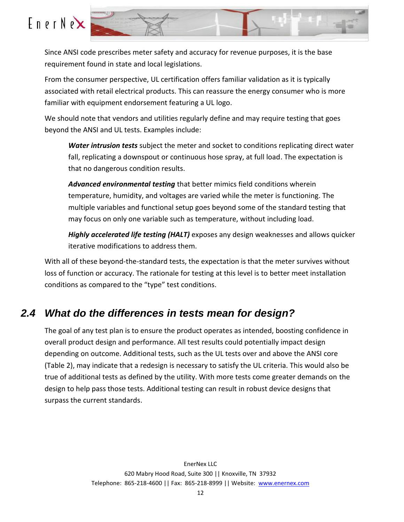

Since ANSI code prescribes meter safety and accuracy for revenue purposes, it is the base requirement found in state and local legislations.

From the consumer perspective, UL certification offers familiar validation as it is typically associated with retail electrical products. This can reassure the energy consumer who is more familiar with equipment endorsement featuring a UL logo.

We should note that vendors and utilities regularly define and may require testing that goes beyond the ANSI and UL tests. Examples include:

*Water intrusion tests* subject the meter and socket to conditions replicating direct water fall, replicating a downspout or continuous hose spray, at full load. The expectation is that no dangerous condition results.

*Advanced environmental testing* that better mimics field conditions wherein temperature, humidity, and voltages are varied while the meter is functioning. The multiple variables and functional setup goes beyond some of the standard testing that may focus on only one variable such as temperature, without including load.

*Highly accelerated life testing (HALT)* exposes any design weaknesses and allows quicker iterative modifications to address them.

With all of these beyond-the-standard tests, the expectation is that the meter survives without loss of function or accuracy. The rationale for testing at this level is to better meet installation conditions as compared to the "type" test conditions.

### <span id="page-11-0"></span>*2.4 What do the differences in tests mean for design?*

The goal of any test plan is to ensure the product operates as intended, boosting confidence in overall product design and performance. All test results could potentially impact design depending on outcome. Additional tests, such as the UL tests over and above the ANSI core (Table 2), may indicate that a redesign is necessary to satisfy the UL criteria. This would also be true of additional tests as defined by the utility. With more tests come greater demands on the design to help pass those tests. Additional testing can result in robust device designs that surpass the current standards.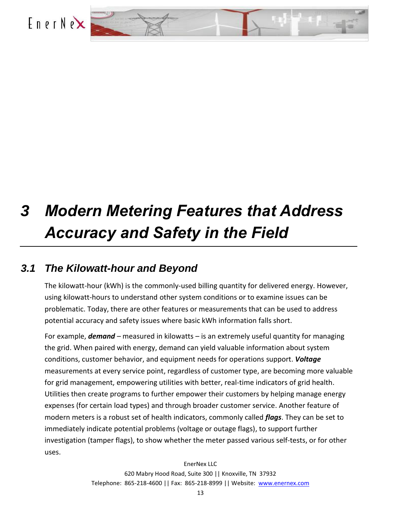<span id="page-12-0"></span>

# *3 Modern Metering Features that Address Accuracy and Safety in the Field*

### *3.1 The Kilowatt-hour and Beyond*

<span id="page-12-1"></span>The kilowatt-hour (kWh) is the commonly-used billing quantity for delivered energy. However, using kilowatt-hours to understand other system conditions or to examine issues can be problematic. Today, there are other features or measurements that can be used to address potential accuracy and safety issues where basic kWh information falls short.

For example, *demand* – measured in kilowatts – is an extremely useful quantity for managing the grid. When paired with energy, demand can yield valuable information about system conditions, customer behavior, and equipment needs for operations support. *Voltage*  measurements at every service point, regardless of customer type, are becoming more valuable for grid management, empowering utilities with better, real-time indicators of grid health. Utilities then create programs to further empower their customers by helping manage energy expenses (for certain load types) and through broader customer service. Another feature of modern meters is a robust set of health indicators, commonly called *flags*. They can be set to immediately indicate potential problems (voltage or outage flags), to support further investigation (tamper flags), to show whether the meter passed various self-tests, or for other uses.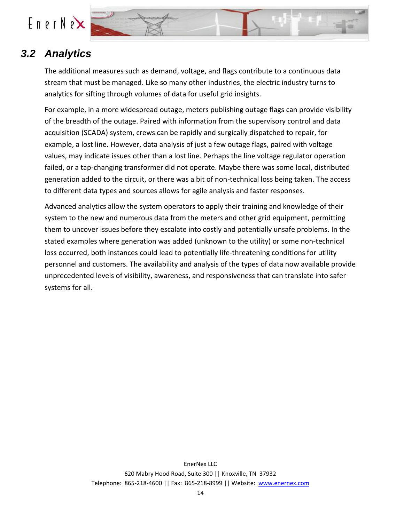

### *3.2 Analytics*

<span id="page-13-0"></span>The additional measures such as demand, voltage, and flags contribute to a continuous data stream that must be managed. Like so many other industries, the electric industry turns to analytics for sifting through volumes of data for useful grid insights.

For example, in a more widespread outage, meters publishing outage flags can provide visibility of the breadth of the outage. Paired with information from the supervisory control and data acquisition (SCADA) system, crews can be rapidly and surgically dispatched to repair, for example, a lost line. However, data analysis of just a few outage flags, paired with voltage values, may indicate issues other than a lost line. Perhaps the line voltage regulator operation failed, or a tap-changing transformer did not operate. Maybe there was some local, distributed generation added to the circuit, or there was a bit of non-technical loss being taken. The access to different data types and sources allows for agile analysis and faster responses.

Advanced analytics allow the system operators to apply their training and knowledge of their system to the new and numerous data from the meters and other grid equipment, permitting them to uncover issues before they escalate into costly and potentially unsafe problems. In the stated examples where generation was added (unknown to the utility) or some non-technical loss occurred, both instances could lead to potentially life-threatening conditions for utility personnel and customers. The availability and analysis of the types of data now available provide unprecedented levels of visibility, awareness, and responsiveness that can translate into safer systems for all.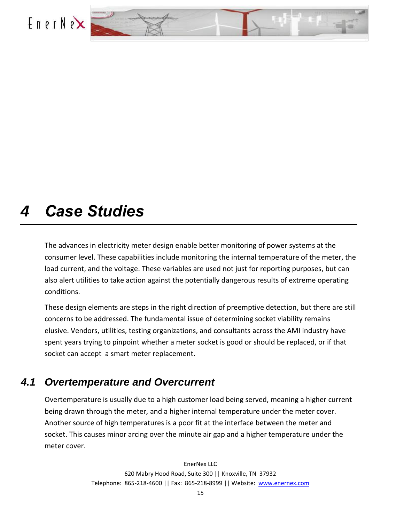<span id="page-14-0"></span>



## *4 Case Studies*

The advances in electricity meter design enable better monitoring of power systems at the consumer level. These capabilities include monitoring the internal temperature of the meter, the load current, and the voltage. These variables are used not just for reporting purposes, but can also alert utilities to take action against the potentially dangerous results of extreme operating conditions.

These design elements are steps in the right direction of preemptive detection, but there are still concerns to be addressed. The fundamental issue of determining socket viability remains elusive. Vendors, utilities, testing organizations, and consultants across the AMI industry have spent years trying to pinpoint whether a meter socket is good or should be replaced, or if that socket can accept a smart meter replacement.

### <span id="page-14-1"></span>*4.1 Overtemperature and Overcurrent*

Overtemperature is usually due to a high customer load being served, meaning a higher current being drawn through the meter, and a higher internal temperature under the meter cover. Another source of high temperatures is a poor fit at the interface between the meter and socket. This causes minor arcing over the minute air gap and a higher temperature under the meter cover.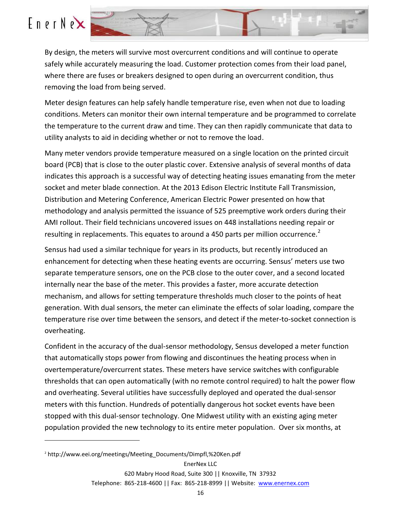$\overline{a}$ 



By design, the meters will survive most overcurrent conditions and will continue to operate safely while accurately measuring the load. Customer protection comes from their load panel, where there are fuses or breakers designed to open during an overcurrent condition, thus removing the load from being served.

Meter design features can help safely handle temperature rise, even when not due to loading conditions. Meters can monitor their own internal temperature and be programmed to correlate the temperature to the current draw and time. They can then rapidly communicate that data to utility analysts to aid in deciding whether or not to remove the load.

Many meter vendors provide temperature measured on a single location on the printed circuit board (PCB) that is close to the outer plastic cover. Extensive analysis of several months of data indicates this approach is a successful way of detecting heating issues emanating from the meter socket and meter blade connection. At the 2013 Edison Electric Institute Fall Transmission, Distribution and Metering Conference, American Electric Power presented on how that methodology and analysis permitted the issuance of 525 preemptive work orders during their AMI rollout. Their field technicians uncovered issues on 448 installations needing repair or resulting in replacements. This equates to around a 450 parts per million occurrence.<sup>2</sup>

Sensus had used a similar technique for years in its products, but recently introduced an enhancement for detecting when these heating events are occurring. Sensus' meters use two separate temperature sensors, one on the PCB close to the outer cover, and a second located internally near the base of the meter. This provides a faster, more accurate detection mechanism, and allows for setting temperature thresholds much closer to the points of heat generation. With dual sensors, the meter can eliminate the effects of solar loading, compare the temperature rise over time between the sensors, and detect if the meter-to-socket connection is overheating.

Confident in the accuracy of the dual-sensor methodology, Sensus developed a meter function that automatically stops power from flowing and discontinues the heating process when in overtemperature/overcurrent states. These meters have service switches with configurable thresholds that can open automatically (with no remote control required) to halt the power flow and overheating. Several utilities have successfully deployed and operated the dual-sensor meters with this function. Hundreds of potentially dangerous hot socket events have been stopped with this dual-sensor technology. One Midwest utility with an existing aging meter population provided the new technology to its entire meter population. Over six months, at

<sup>2</sup> http://www.eei.org/meetings/Meeting\_Documents/Dimpfl,%20Ken.pdf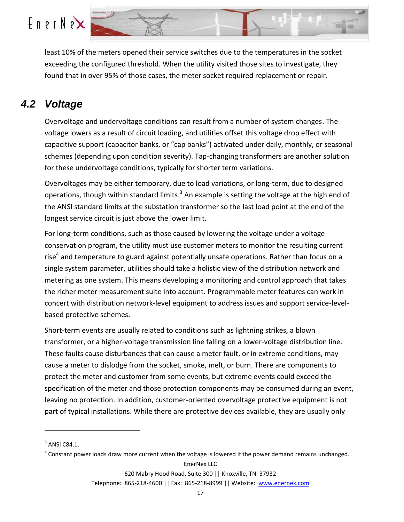

least 10% of the meters opened their service switches due to the temperatures in the socket exceeding the configured threshold. When the utility visited those sites to investigate, they found that in over 95% of those cases, the meter socket required replacement or repair.

### <span id="page-16-0"></span>*4.2 Voltage*

Overvoltage and undervoltage conditions can result from a number of system changes. The voltage lowers as a result of circuit loading, and utilities offset this voltage drop effect with capacitive support (capacitor banks, or "cap banks") activated under daily, monthly, or seasonal schemes (depending upon condition severity). Tap-changing transformers are another solution for these undervoltage conditions, typically for shorter term variations.

Overvoltages may be either temporary, due to load variations, or long-term, due to designed operations, though within standard limits.<sup>3</sup> An example is setting the voltage at the high end of the ANSI standard limits at the substation transformer so the last load point at the end of the longest service circuit is just above the lower limit.

For long-term conditions, such as those caused by lowering the voltage under a voltage conservation program, the utility must use customer meters to monitor the resulting current rise<sup>4</sup> and temperature to guard against potentially unsafe operations. Rather than focus on a single system parameter, utilities should take a holistic view of the distribution network and metering as one system. This means developing a monitoring and control approach that takes the richer meter measurement suite into account. Programmable meter features can work in concert with distribution network-level equipment to address issues and support service-levelbased protective schemes.

Short-term events are usually related to conditions such as lightning strikes, a blown transformer, or a higher-voltage transmission line falling on a lower-voltage distribution line. These faults cause disturbances that can cause a meter fault, or in extreme conditions, may cause a meter to dislodge from the socket, smoke, melt, or burn. There are components to protect the meter and customer from some events, but extreme events could exceed the specification of the meter and those protection components may be consumed during an event, leaving no protection. In addition, customer-oriented overvoltage protective equipment is not part of typical installations. While there are protective devices available, they are usually only

 $\overline{a}$ 

EnerNex LLC

Telephone: 865-218-4600 || Fax: 865-218-8999 || Website: [www.enernex.com](http://www.enernex.com/)

 $3$  ANSI C84.1.

 $^4$  Constant power loads draw more current when the voltage is lowered if the power demand remains unchanged.

<sup>620</sup> Mabry Hood Road, Suite 300 || Knoxville, TN 37932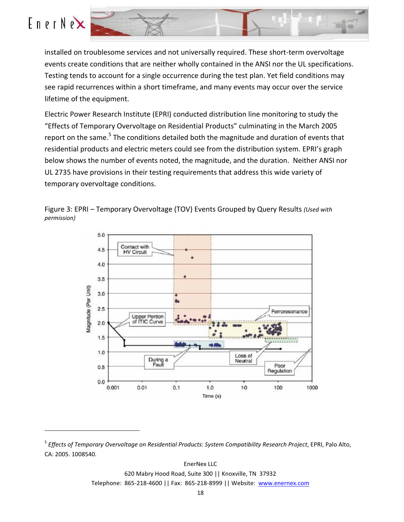

 $\overline{a}$ 



installed on troublesome services and not universally required. These short-term overvoltage events create conditions that are neither wholly contained in the ANSI nor the UL specifications. Testing tends to account for a single occurrence during the test plan. Yet field conditions may see rapid recurrences within a short timeframe, and many events may occur over the service lifetime of the equipment.

Electric Power Research Institute (EPRI) conducted distribution line monitoring to study the "Effects of Temporary Overvoltage on Residential Products" culminating in the March 2005 report on the same.<sup>5</sup> The conditions detailed both the magnitude and duration of events that residential products and electric meters could see from the distribution system. EPRI's graph below shows the number of events noted, the magnitude, and the duration. Neither ANSI nor UL 2735 have provisions in their testing requirements that address this wide variety of temporary overvoltage conditions.





<sup>5</sup> *Effects of Temporary Overvoltage on Residential Products: System Compatibility Research Project*, EPRI, Palo Alto, CA: 2005. 1008540.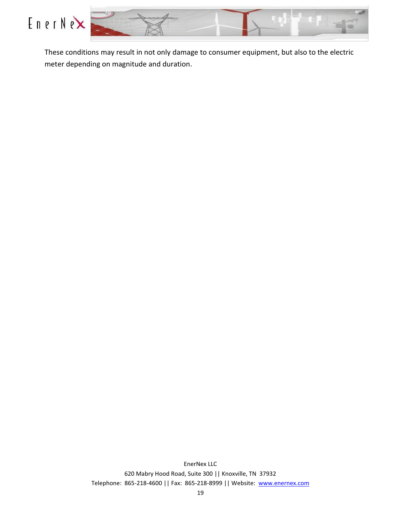



These conditions may result in not only damage to consumer equipment, but also to the electric meter depending on magnitude and duration.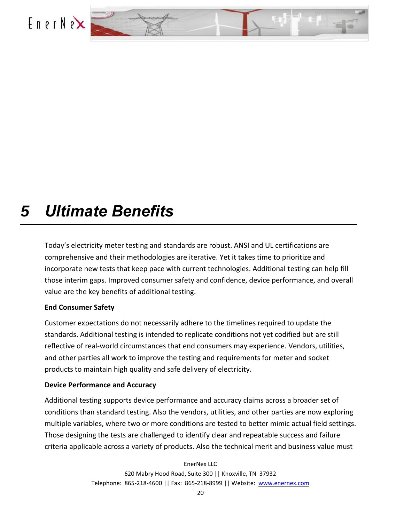<span id="page-19-0"></span>



## *5 Ultimate Benefits*

Today's electricity meter testing and standards are robust. ANSI and UL certifications are comprehensive and their methodologies are iterative. Yet it takes time to prioritize and incorporate new tests that keep pace with current technologies. Additional testing can help fill those interim gaps. Improved consumer safety and confidence, device performance, and overall value are the key benefits of additional testing.

#### **End Consumer Safety**

Customer expectations do not necessarily adhere to the timelines required to update the standards. Additional testing is intended to replicate conditions not yet codified but are still reflective of real-world circumstances that end consumers may experience. Vendors, utilities, and other parties all work to improve the testing and requirements for meter and socket products to maintain high quality and safe delivery of electricity.

#### **Device Performance and Accuracy**

Additional testing supports device performance and accuracy claims across a broader set of conditions than standard testing. Also the vendors, utilities, and other parties are now exploring multiple variables, where two or more conditions are tested to better mimic actual field settings. Those designing the tests are challenged to identify clear and repeatable success and failure criteria applicable across a variety of products. Also the technical merit and business value must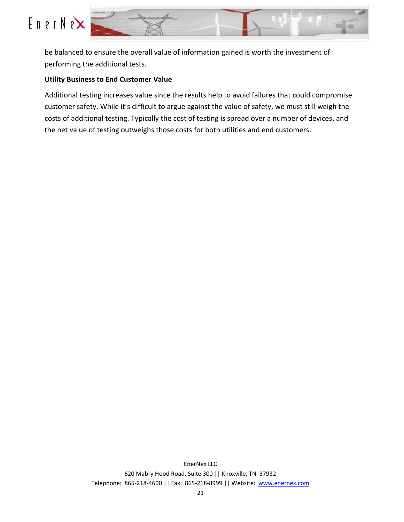



be balanced to ensure the overall value of information gained is worth the investment of performing the additional tests.

#### **Utility Business to End Customer Value**

Additional testing increases value since the results help to avoid failures that could compromise customer safety. While it's difficult to argue against the value of safety, we must still weigh the costs of additional testing. Typically the cost of testing is spread over a number of devices, and the net value of testing outweighs those costs for both utilities and end customers.